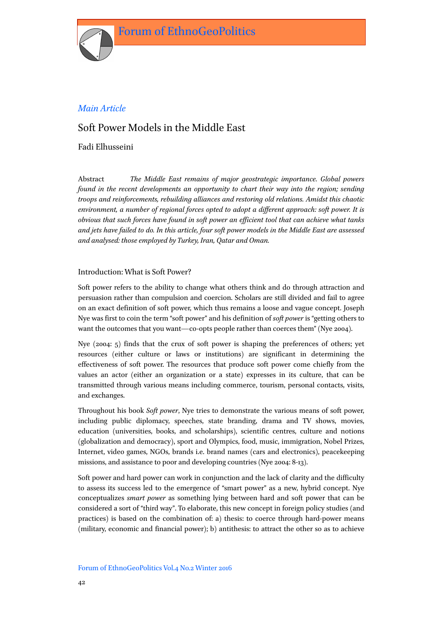

# *Main Article*

# Soft Power Models in the Middle East

Fadi Elhusseini

Abstract *The Middle East remains of major geostrategic importance. Global powers found in the recent developments an opportunity to chart their way into the region; sending troops and reinforcements, rebuilding alliances and restoring old relations. Amidst this chaotic environment, a number of regional forces opted to adopt a different approach: soft power. It is obvious that such forces have found in soft power an efficient tool that can achieve what tanks*  and jets have failed to do. In this article, four soft power models in the Middle East are assessed *and analysed: those employed by Turkey, Iran, Qatar and Oman.* 

## Introduction: What is Soft Power?

Soft power refers to the ability to change what others think and do through attraction and persuasion rather than compulsion and coercion. Scholars are still divided and fail to agree on an exact definition of soft power, which thus remains a loose and vague concept. Joseph Nye was first to coin the term "soft power" and his definition of *soft power* is "getting others to want the outcomes that you want—co-opts people rather than coerces them" (Nye 2004).

Nye (2004: 5) finds that the crux of soft power is shaping the preferences of others; yet resources (either culture or laws or institutions) are significant in determining the effectiveness of soft power. The resources that produce soft power come chiefly from the values an actor (either an organization or a state) expresses in its culture, that can be transmitted through various means including commerce, tourism, personal contacts, visits, and exchanges.

Throughout his book *Soft power*, Nye tries to demonstrate the various means of soft power, including public diplomacy, speeches, state branding, drama and TV shows, movies, education (universities, books, and scholarships), scientific centres, culture and notions (globalization and democracy), sport and Olympics, food, music, immigration, Nobel Prizes, Internet, video games, NGOs, brands i.e. brand names (cars and electronics), peacekeeping missions, and assistance to poor and developing countries (Nye 2004: 8-13).

Soft power and hard power can work in conjunction and the lack of clarity and the difficulty to assess its success led to the emergence of "smart power" as a new, hybrid concept. Nye conceptualizes *smart power* as something lying between hard and soft power that can be considered a sort of "third way". To elaborate, this new concept in foreign policy studies (and practices) is based on the combination of: a) thesis: to coerce through hard-power means (military, economic and financial power); b) antithesis: to attract the other so as to achieve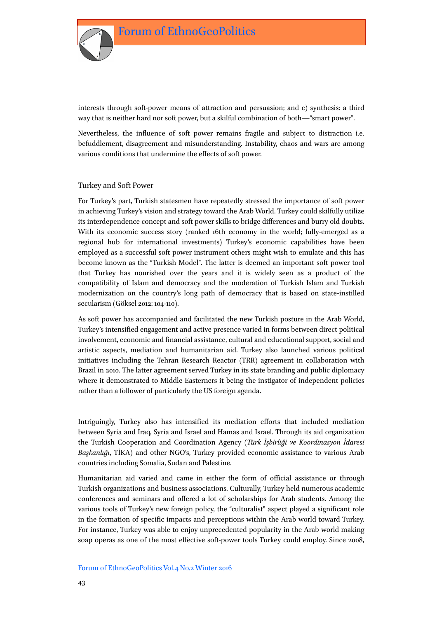

interests through soft-power means of attraction and persuasion; and c) synthesis: a third way that is neither hard nor soft power, but a skilful combination of both—"smart power".

Nevertheless, the influence of soft power remains fragile and subject to distraction i.e. befuddlement, disagreement and misunderstanding. Instability, chaos and wars are among various conditions that undermine the effects of soft power.

#### Turkey and Soft Power

For Turkey's part, Turkish statesmen have repeatedly stressed the importance of soft power in achieving Turkey's vision and strategy toward the Arab World. Turkey could skilfully utilize its interdependence concept and soft power skills to bridge differences and burry old doubts. With its economic success story (ranked 16th economy in the world; fully-emerged as a regional hub for international investments) Turkey's economic capabilities have been employed as a successful soft power instrument others might wish to emulate and this has become known as the "Turkish Model". The latter is deemed an important soft power tool that Turkey has nourished over the years and it is widely seen as a product of the compatibility of Islam and democracy and the moderation of Turkish Islam and Turkish modernization on the country's long path of democracy that is based on state-instilled secularism (Göksel 2012: 104-110).

As soft power has accompanied and facilitated the new Turkish posture in the Arab World, Turkey's intensified engagement and active presence varied in forms between direct political involvement, economic and financial assistance, cultural and educational support, social and artistic aspects, mediation and humanitarian aid. Turkey also launched various political initiatives including the Tehran Research Reactor (TRR) agreement in collaboration with Brazil in 2010. The latter agreement served Turkey in its state branding and public diplomacy where it demonstrated to Middle Easterners it being the instigator of independent policies rather than a follower of particularly the US foreign agenda.

Intriguingly, Turkey also has intensified its mediation efforts that included mediation between Syria and Iraq, Syria and Israel and Hamas and Israel. Through its aid organization the Turkish Cooperation and Coordination Agency (*Türk İşbirliği ve Koordinasyon İdaresi Başkanlığı*, TİKA) and other NGO's, Turkey provided economic assistance to various Arab countries including Somalia, Sudan and Palestine.

Humanitarian aid varied and came in either the form of official assistance or through Turkish organizations and business associations. Culturally, Turkey held numerous academic conferences and seminars and offered a lot of scholarships for Arab students. Among the various tools of Turkey's new foreign policy, the "culturalist" aspect played a significant role in the formation of specific impacts and perceptions within the Arab world toward Turkey. For instance, Turkey was able to enjoy unprecedented popularity in the Arab world making soap operas as one of the most effective soft-power tools Turkey could employ. Since 2008,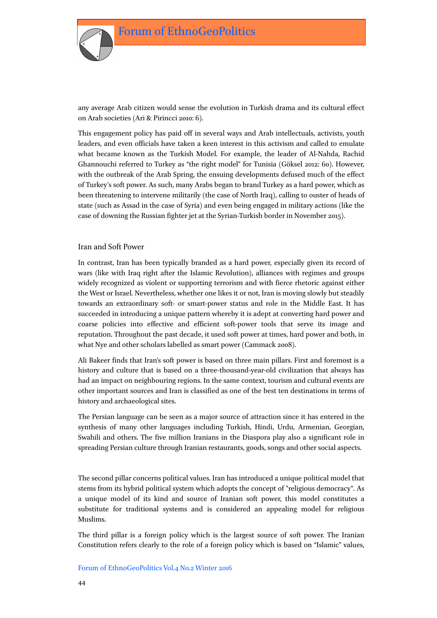

any average Arab citizen would sense the evolution in Turkish drama and its cultural effect on Arab societies (Ari & Pirincci 2010: 6).

This engagement policy has paid off in several ways and Arab intellectuals, activists, youth leaders, and even officials have taken a keen interest in this activism and called to emulate what became known as the Turkish Model. For example, the leader of Al-Nahda, Rachid Ghannouchi referred to Turkey as "the right model" for Tunisia (Göksel 2012: 60). However, with the outbreak of the Arab Spring, the ensuing developments defused much of the effect of Turkey's soft power. As such, many Arabs began to brand Turkey as a hard power, which as been threatening to intervene militarily (the case of North Iraq), calling to ouster of heads of state (such as Assad in the case of Syria) and even being engaged in military actions (like the case of downing the Russian fighter jet at the Syrian-Turkish border in November 2015).

#### Iran and Soft Power

In contrast, Iran has been typically branded as a hard power, especially given its record of wars (like with Iraq right after the Islamic Revolution), alliances with regimes and groups widely recognized as violent or supporting terrorism and with fierce rhetoric against either the West or Israel. Nevertheless, whether one likes it or not, Iran is moving slowly but steadily towards an extraordinary soft- or smart-power status and role in the Middle East. It has succeeded in introducing a unique pattern whereby it is adept at converting hard power and coarse policies into effective and efficient soft-power tools that serve its image and reputation. Throughout the past decade, it used soft power at times, hard power and both, in what Nye and other scholars labelled as smart power (Cammack 2008).

Ali Bakeer finds that Iran's soft power is based on three main [pillars.](http://studies.aljazeera.net/files/iranandstrengthfactors/2013/04/2013411102151266414.html%20%5bAccessed%206%20Jan.%202014%5d) First and foremost is a history and culture that is based on a three-thousand-year-old civilization that always has had an impact on neighbouring regions. In the same context, tourism and cultural events are other important sources and Iran is classified as one of the best ten destinations in terms of history and archaeological sites.

The Persian language can be seen as a major source of attraction since it has entered in the synthesis of many other languages including Turkish, Hindi, Urdu, Armenian, Georgian, Swahili and others. The five million Iranians in the Diaspora play also a significant role in spreading Persian culture through Iranian restaurants, goods, songs and other social aspects.

The second pillar concerns political values. Iran has introduced a unique political model that stems from its hybrid political system which adopts the concept of "religious democracy". As a unique model of its kind and source of Iranian soft power, this model constitutes a substitute for traditional systems and is considered an appealing model for religious Muslims.

The third pillar is a foreign policy which is the largest source of soft power. The Iranian Constitution refers clearly to the role of a foreign policy which is based on "Islamic" values,

#### Forum of EthnoGeoPolitics Vol.4 No.2 Winter 2016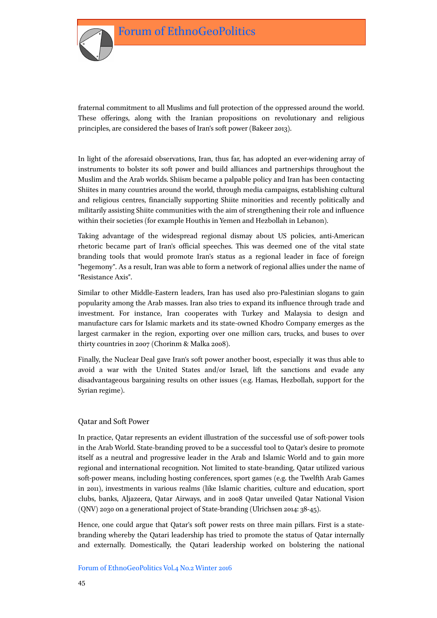

fraternal commitment to all Muslims and full protection of the oppressed around the world. These offerings, along with the Iranian propositions on revolutionary and religious principles, are considered the bases of Iran's soft power (Bakeer 2013).

In light of the aforesaid observations, Iran, thus far, has adopted an ever-widening array of instruments to bolster its soft power and build alliances and partnerships throughout the Muslim and the Arab worlds. Shiism became a palpable policy and Iran has been contacting Shiites in many countries around the world, through media campaigns, establishing cultural and religious centres, financially supporting Shiite minorities and recently politically and militarily assisting Shiite communities with the aim of strengthening their role and influence within their societies (for example Houthis in Yemen and Hezbollah in Lebanon).

Taking advantage of the widespread regional dismay about US policies, anti-American rhetoric became part of Iran's official speeches. This was deemed one of the vital state branding tools that would promote Iran's status as a regional leader in face of foreign "hegemony". As a result, Iran was able to form a network of regional allies under the name of "Resistance Axis".

Similar to other Middle-Eastern leaders, Iran has used also pro-Palestinian slogans to gain popularity among the Arab masses. Iran also tries to expand its influence through trade and investment. For instance, Iran cooperates with Turkey and Malaysia to design and manufacture cars for Islamic markets and its state-owned Khodro [Company](http://csis.org/files/media/csis/pubs/0408_menc.pdf) emerges as the largest carmaker in the region, exporting over one million cars, trucks, and buses to over thirty countries in 2007 (Chorinm & Malka 2008).

Finally, the Nuclear Deal gave Iran's soft power another boost, especially it was thus able to avoid a war with the United States and/or Israel, lift the sanctions and evade any disadvantageous bargaining results on other issues (e.g. Hamas, Hezbollah, support for the Syrian regime).

#### Qatar and Soft Power

In practice, Qatar represents an evident illustration of the successful use of soft-power tools in the Arab World. State-branding proved to be a successful tool to Qatar's desire to promote itself as a neutral and progressive leader in the Arab and Islamic World and to gain more regional and international recognition. Not limited to state-branding, Qatar utilized various soft-power means, including hosting conferences, sport games (e.g. the Twelfth Arab Games in 2011), investments in various realms (like Islamic charities, culture and education, sport clubs, banks, Aljazeera, Qatar Airways, and in 2008 Qatar unveiled Qatar National Vision (QNV) 2030 on a generational project of State-branding (Ulrichsen 2014: 38-45).

Hence, one could argue that Qatar's soft power rests on three main pillars. First is a statebranding whereby the Qatari leadership has tried to promote the status of Qatar internally and externally. Domestically, the Qatari leadership worked on bolstering the national

#### Forum of EthnoGeoPolitics Vol.4 No.2 Winter 2016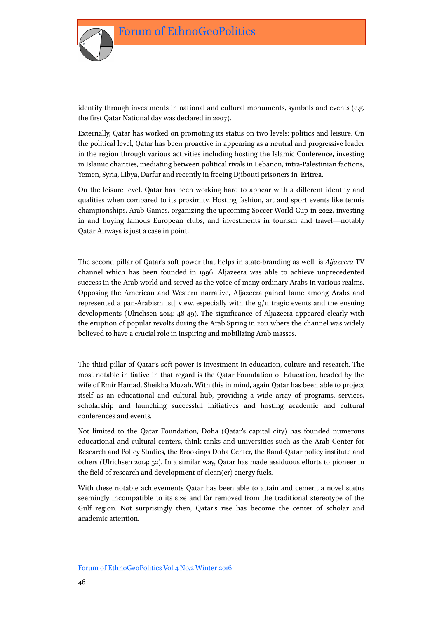

identity through investments in national and cultural monuments, symbols and events (e.g. the first Qatar National day was declared in 2007).

Externally, Qatar has worked on promoting its status on two levels: politics and leisure. On the political level, Qatar has been proactive in appearing as a neutral and progressive leader in the region through various activities including hosting the Islamic Conference, investing in Islamic charities, mediating between political rivals in Lebanon, intra-Palestinian factions, Yemen, Syria, Libya, Darfur and recently in freeing Djibouti prisoners in Eritrea.

On the leisure level, Qatar has been working hard to appear with a different identity and qualities when compared to its proximity. Hosting fashion, art and sport events like tennis championships, Arab Games, organizing the upcoming Soccer World Cup in 2022, investing in and buying famous European clubs, and investments in tourism and travel—notably Qatar Airways is just a case in point.

The second pillar of Qatar's soft power that helps in state-branding as well, is *Aljazeera* TV channel which has been founded in 1996. Aljazeera was able to achieve unprecedented success in the Arab world and served as the voice of many ordinary Arabs in various realms. Opposing the American and Western narrative, Aljazeera gained fame among Arabs and represented a pan-Arabism[ist] view, especially with the  $9/11$  tragic events and the ensuing developments (Ulrichsen 2014: 48-49). The significance of Aljazeera appeared clearly with the eruption of popular revolts during the Arab Spring in 2011 where the channel was widely believed to have a crucial role in inspiring and mobilizing Arab masses.

The third pillar of Qatar's soft power is investment in education, culture and research. The most notable initiative in that regard is the Qatar Foundation of Education, headed by the wife of Emir Hamad, Sheikha Mozah. With this in mind, again Qatar has been able to project itself as an educational and cultural hub, providing a wide array of programs, services, scholarship and launching successful initiatives and hosting academic and cultural conferences and events.

Not limited to the Qatar Foundation, Doha (Qatar's capital city) has founded numerous educational and cultural centers, think tanks and universities such as the Arab Center for Research and Policy Studies, the Brookings Doha Center, the Rand-Qatar policy institute and others (Ulrichsen 2014: 52). In a similar way, Qatar has made assiduous efforts to pioneer in the field of research and development of clean(er) energy fuels.

With these notable achievements Qatar has been able to attain and cement a novel status seemingly incompatible to its size and far removed from the traditional stereotype of the Gulf region. Not surprisingly then, Qatar's rise has become the center of scholar and academic attention.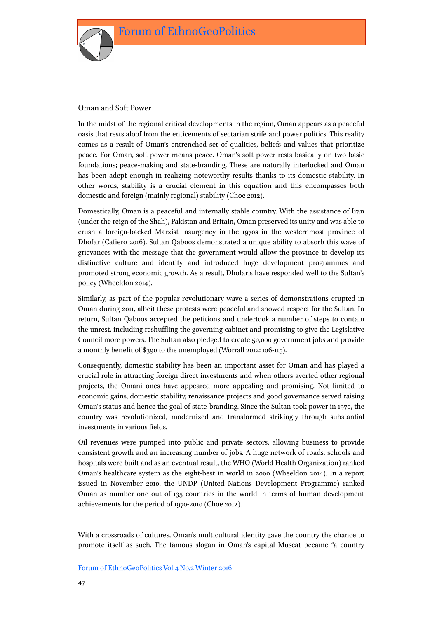

#### Oman and Soft Power

In the midst of the regional critical developments in the region, Oman appears as a peaceful oasis that rests aloof from the enticements of sectarian strife and power politics. This reality comes as a result of Oman's entrenched set of qualities, beliefs and values that prioritize peace. For Oman, soft power [means](http://timesofoman.com/article/2861/Oman/Omans-soft-power-and-national-brand-) peace. Oman's soft power rests basically on two basic foundations; peace-making and state-branding. These are naturally interlocked and Oman has been adept enough in realizing noteworthy results thanks to its domestic stability. In other words, stability is a crucial element in this equation and this encompasses both domestic and foreign (mainly regional) stability (Choe 2012).

Domestically, Oman is a peaceful and internally stable country. With the assistance of Iran (under the reign of the Shah), Pakistan and Britain, Oman preserved its unity and was able to crush a foreign-backed Marxist [insurgency](http://www.al-monitor.com/pulse/originals/2016/01/oman-saudi-arabia-iran-tension-execution-nimr-mediator.html) in the 1970s in the westernmost province of Dhofar (Cafiero 2016). Sultan Qaboos demonstrated a unique ability to absorb this wave of grievances with the message that the government would allow the province to develop its distinctive culture and identity and introduced huge development programmes and promoted strong [economic](http://cambridgeglobalist.org/2014/12/02/omans-precarious-future/) growth. As a result, Dhofaris have responded well to the Sultan's policy (Wheeldon 2014).

Similarly, as part of the popular revolutionary wave a series of demonstrations erupted in Oman during 2011, albeit these protests were peaceful and showed respect for the Sultan. In return, Sultan Qaboos accepted the petitions and undertook a number of steps to contain the unrest, including reshuffling the governing cabinet and promising to give the Legislative Council more powers. The Sultan also pledged to create 50,000 government jobs and provide a monthly benefit of \$390 to the unemployed (Worrall 2012: 106-115).

Consequently, domestic stability has been an important asset for Oman and has played a crucial role in attracting foreign direct investments and when others averted other regional projects, the Omani ones have appeared more appealing and promising. Not limited to economic gains, domestic stability, renaissance projects and good governance served raising Oman's status and hence the goal of state-branding. Since the Sultan took power in 1970, the country was revolutionized, modernized and transformed strikingly through substantial investments in various fields.

Oil revenues were pumped into public and private sectors, allowing business to provide consistent growth and an increasing number of jobs. A huge network of roads, schools and hospitals were built and as an eventual result, the WHO (World Health Organization) ranked Oman's healthcare system as the eight-best in world in 2000 (Wheeldon 2014). In a report issued in November 2010, the UNDP (United Nations Development Programme) ranked Oman as number one out of 135 countries in the world in terms of human development achievements for the period of 1970-2010 (Choe 2012).

With a crossroads of cultures, Oman's multicultural identity gave the country the chance to promote itself as such. The famous slogan in Oman's capital Muscat became "a country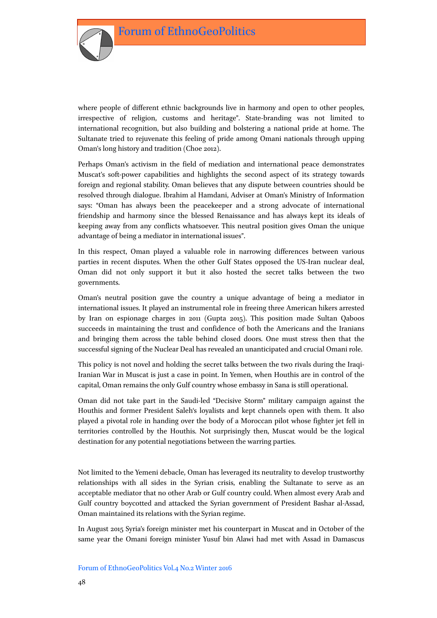

where people of different ethnic backgrounds live in harmony and open to other peoples, irrespective of religion, customs and heritage". State-branding was not limited to international recognition, but also building and bolstering a national pride at home. The Sultanate tried to rejuvenate this feeling of pride among Omani nationals through upping Oman's long history and tradition (Choe 2012).

Perhaps Oman's activism in the field of mediation and international peace demonstrates Muscat's soft-power capabilities and highlights the second aspect of its strategy towards foreign and regional stability. Oman believes that any dispute between countries should be resolved through dialogue. Ibrahim al [Hamdani](http://omanobserver.om/experts-commend-omans-role-in-trilateral-talks/), Adviser at Oman's Ministry of Information says: "Oman has always been the peacekeeper and a strong advocate of international friendship and harmony since the blessed Renaissance and has always kept its ideals of keeping away from any conflicts whatsoever. This neutral position gives Oman the unique advantage of being a mediator in international issues".

In this respect, Oman played a valuable role in narrowing differences between various parties in recent disputes. When the other Gulf States opposed the US-Iran nuclear deal, Oman did not only support it but it also hosted the secret talks between the two governments.

Oman's neutral position gave the country a unique advantage of being a mediator in international issues. It played an instrumental role in freeing three American hikers arrested by Iran on espionage charges in 2011 (Gupta 2015). This position made Sultan Qaboos succeeds in maintaining the trust and confidence of both the Americans and the Iranians and bringing them across the table behind closed doors. One must stress then that the successful signing of the [Nuclear Deal](http://intpolicydigest.org/2015/07/18/oman-the-unsung-hero-of-the-iranian-nuclear-deal/) has revealed an unanticipated and crucial Omani role.

This policy is not novel and [holding](http://intpolicydigest.org/2015/07/18/oman-the-unsung-hero-of-the-iranian-nuclear-deal/) the secret talks between the two rivals during the Iraqi-Iranian War in Muscat is just a case in point. In Yemen, when Houthis are in control of the capital, Oman remains the only Gulf country whose embassy in Sana is still operational.

Oman did not take part in the Saudi-led "Decisive Storm" military campaign against the Houthis and former President Saleh's loyalists and kept channels open with them. It also played a pivotal role in handing over the body of a Moroccan pilot whose fighter jet fell in territories controlled by the Houthis. Not surprisingly then, Muscat would be the logical destination for any potential negotiations between the warring parties.

Not limited to the Yemeni debacle, Oman has leveraged its neutrality to develop trustworthy relationships with all sides in the Syrian crisis, enabling the Sultanate to serve as an acceptable mediator that no other Arab or Gulf country could. When almost every Arab and Gulf country boycotted and attacked the Syrian government of President Bashar al-Assad, Oman maintained its relations with the Syrian regime.

In August 2015 Syria's foreign minister met his counterpart in Muscat and in October of the same year the Omani foreign minister Yusuf bin Alawi had met with Assad in Damascus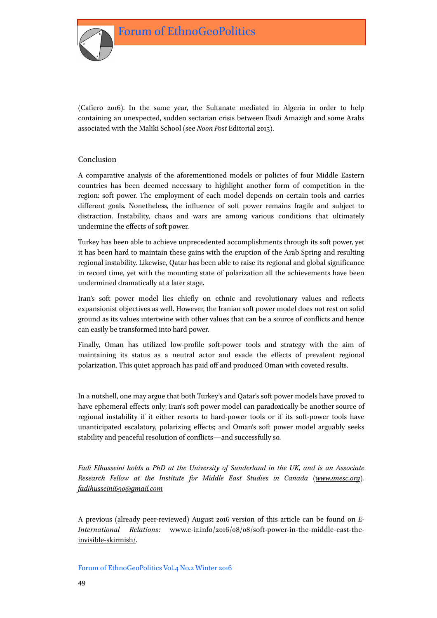

#### Conclusion

A comparative analysis of the aforementioned models or policies of four Middle Eastern countries has been deemed necessary to highlight another form of competition in the region: soft power. The employment of each model depends on certain tools and carries different goals. Nonetheless, the influence of soft power remains fragile and subject to distraction. Instability, chaos and wars are among various conditions that ultimately undermine the effects of soft power.

Turkey has been able to achieve unprecedented accomplishments through its soft power, yet it has been hard to maintain these gains with the eruption of the Arab Spring and resulting regional instability. Likewise, Qatar has been able to raise its regional and global significance in record time, yet with the mounting state of polarization all the achievements have been undermined dramatically at a later stage.

Iran's soft power model lies chiefly on ethnic and revolutionary values and reflects expansionist objectives as well. However, the Iranian soft power model does not rest on solid ground as its values intertwine with other values that can be a source of conflicts and hence can easily be transformed into hard power.

Finally, Oman has utilized low-profile soft-power tools and strategy with the aim of maintaining its status as a neutral actor and evade the effects of prevalent regional polarization. This quiet approach has paid off and produced Oman with coveted results.

In a nutshell, one may argue that both Turkey's and Qatar's soft power models have proved to have ephemeral effects only; Iran's soft power model can paradoxically be another source of regional instability if it either resorts to hard-power tools or if its soft-power tools have unanticipated escalatory, polarizing effects; and Oman's soft power model arguably seeks stability and peaceful resolution of conflicts—and successfully so.

*Fadi Elhusseini holds a PhD at the University of Sunderland in the UK, and is an Associate Research Fellow at the Institute for Middle East Studies in Canada ([www.imesc.org](http://www.imesc.org)). [fadihusseini690@gmail.com](mailto:fadihusseini690@gmail.com)*

A previous (already peer-reviewed) August 2016 version of this article can be found on *E-International Relations*: [www.e-ir.info/2016/08/08/soft-power-in-the-middle-east-the](http://www.e-ir.info/2016/08/08/soft-power-in-the-middle-east-the-invisible-skirmish/)[invisible-skirmish/.](http://www.e-ir.info/2016/08/08/soft-power-in-the-middle-east-the-invisible-skirmish/)